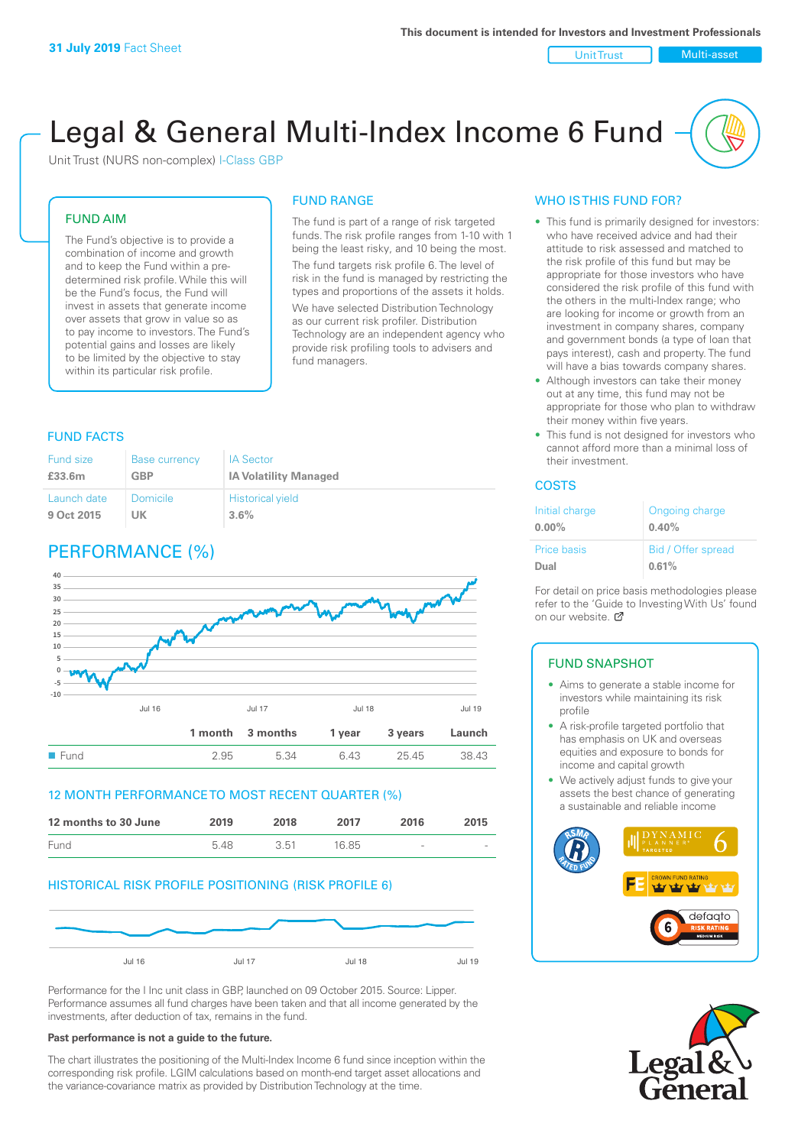Unit Trust Nulti-asset

# Legal & General Multi-Index Income 6 Fund

Unit Trust (NURS non-complex) I-Class GBP

#### FUND AIM

The Fund's objective is to provide a combination of income and growth and to keep the Fund within a predetermined risk profile. While this will be the Fund's focus, the Fund will invest in assets that generate income over assets that grow in value so as to pay income to investors. The Fund's potential gains and losses are likely to be limited by the objective to stay within its particular risk profile.

#### FUND RANGE

The fund is part of a range of risk targeted funds. The risk profile ranges from 1-10 with 1 being the least risky, and 10 being the most. The fund targets risk profile 6. The level of risk in the fund is managed by restricting the types and proportions of the assets it holds. We have selected Distribution Technology as our current risk profiler. Distribution Technology are an independent agency who provide risk profiling tools to advisers and fund managers.

#### FUND FACTS

| <b>Fund size</b> | <b>Base currency</b> | <b>IA Sector</b>             |
|------------------|----------------------|------------------------------|
| £33.6m           | <b>GBP</b>           | <b>IA Volatility Managed</b> |
| Launch date      | Domicile             | <b>Historical yield</b>      |
| 9 Oct 2015       | UK                   | 3.6%                         |

## PERFORMANCE (%)



#### 12 MONTH PERFORMANCE TO MOST RECENT QUARTER (%)



#### HISTORICAL RISK PROFILE POSITIONING (RISK PROFILE 6)



Performance for the I Inc unit class in GBP, launched on 09 October 2015. Source: Lipper. Performance assumes all fund charges have been taken and that all income generated by the investments, after deduction of tax, remains in the fund.

#### **Past performance is not a guide to the future.**

The chart illustrates the positioning of the Multi-Index Income 6 fund since inception within the corresponding risk profile. LGIM calculations based on month-end target asset allocations and the variance-covariance matrix as provided by Distribution Technology at the time.

#### WHO IS THIS FUND FOR?

- This fund is primarily designed for investors: who have received advice and had their attitude to risk assessed and matched to the risk profile of this fund but may be appropriate for those investors who have considered the risk profile of this fund with the others in the multi-Index range; who are looking for income or growth from an investment in company shares, company and government bonds (a type of loan that pays interest), cash and property. The fund will have a bias towards company shares.
- Although investors can take their money out at any time, this fund may not be appropriate for those who plan to withdraw their money within five years.
- This fund is not designed for investors who cannot afford more than a minimal loss of their investment.

#### **COSTS**

| Initial charge<br>$0.00\%$ | Ongoing charge<br>0.40% |
|----------------------------|-------------------------|
| <b>Price basis</b>         | Bid / Offer spread      |
| Dual                       | 0.61%                   |

For detail on price basis methodologies please refer to the 'Guide to Investing With Us' found on our website. [7]

#### FUND SNAPSHOT

- Aims to generate a stable income for investors while maintaining its risk profile
- A risk-profile targeted portfolio that has emphasis on UK and overseas equities and exposure to bonds for income and capital growth
- We actively adjust funds to give your assets the best chance of generating a sustainable and reliable income



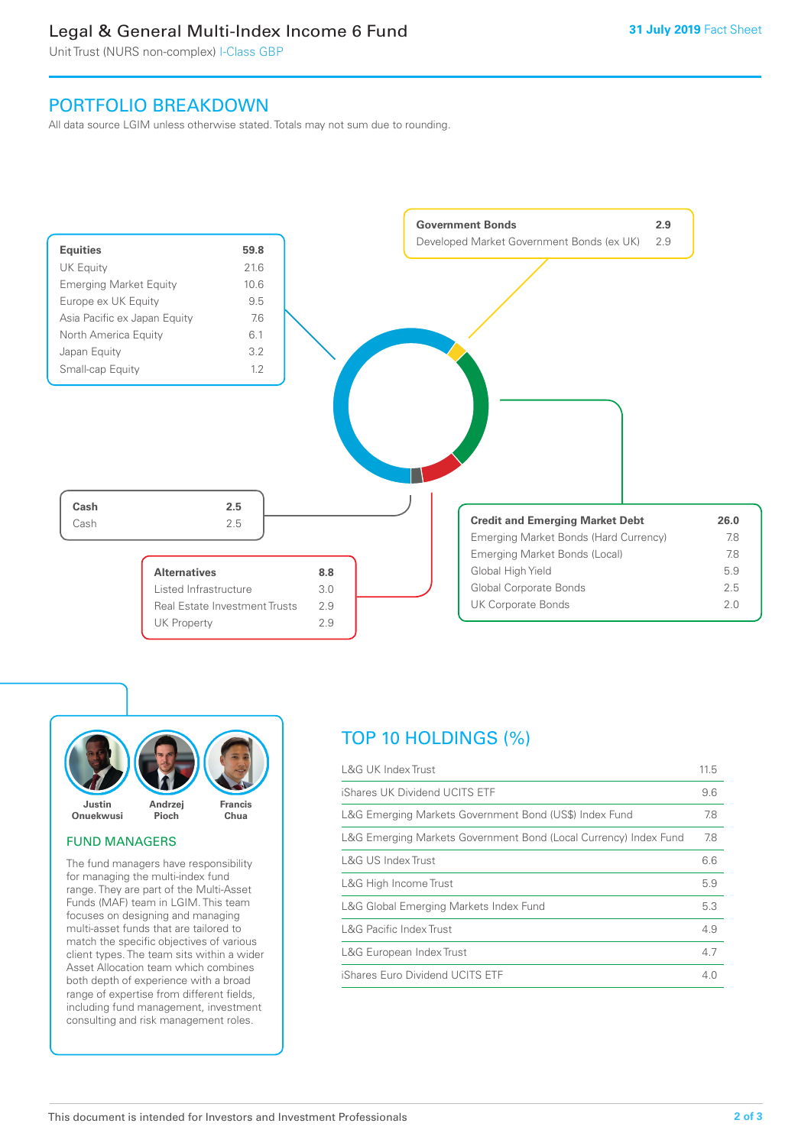## Legal & General Multi-Index Income 6 Fund

Unit Trust (NURS non-complex) I-Class GBP

## PORTFOLIO BREAKDOWN

All data source LGIM unless otherwise stated. Totals may not sum due to rounding.





#### FUND MANAGERS

The fund managers have responsibility for managing the multi-index fund range. They are part of the Multi-Asset Funds (MAF) team in LGIM. This team focuses on designing and managing multi-asset funds that are tailored to match the specific objectives of various client types. The team sits within a wider Asset Allocation team which combines both depth of experience with a broad range of expertise from different fields, including fund management, investment consulting and risk management roles.

## TOP 10 HOLDINGS (%)

| <b>L&amp;G UK Index Trust</b>                                    | 11.5 |
|------------------------------------------------------------------|------|
| iShares UK Dividend UCITS ETF                                    | 9.6  |
| L&G Emerging Markets Government Bond (US\$) Index Fund           | 7.8  |
| L&G Emerging Markets Government Bond (Local Currency) Index Fund | 7.8  |
| <b>L&amp;G US Index Trust</b>                                    | 6.6  |
| L&G High Income Trust                                            | 5.9  |
| L&G Global Emerging Markets Index Fund                           | 5.3  |
| <b>L&amp;G Pacific Index Trust</b>                               | 4.9  |
| L&G European Index Trust                                         | 4.7  |
| iShares Euro Dividend UCITS ETF                                  | 4 O  |